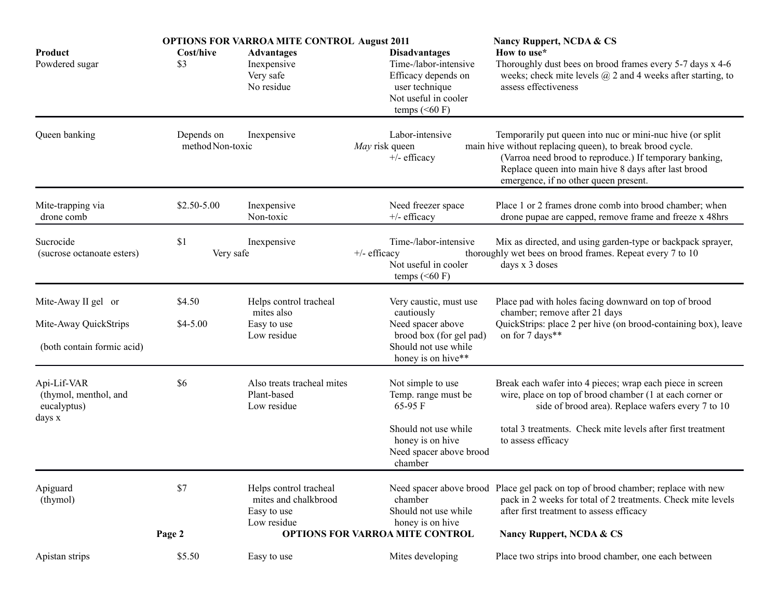|                                                               | <b>OPTIONS FOR VARROA MITE CONTROL August 2011</b> |                                                                              |                                                                                                          |                                                                                                                                          | Nancy Ruppert, NCDA & CS                                                                                                                                                                                                                                                            |
|---------------------------------------------------------------|----------------------------------------------------|------------------------------------------------------------------------------|----------------------------------------------------------------------------------------------------------|------------------------------------------------------------------------------------------------------------------------------------------|-------------------------------------------------------------------------------------------------------------------------------------------------------------------------------------------------------------------------------------------------------------------------------------|
| Product<br>Powdered sugar                                     | Cost/hive<br>\$3                                   | <b>Advantages</b><br>Inexpensive<br>Very safe<br>No residue                  |                                                                                                          | <b>Disadvantages</b><br>Time-/labor-intensive<br>Efficacy depends on<br>user technique<br>Not useful in cooler<br>temps $(60 \text{ F})$ | How to use*<br>Thoroughly dust bees on brood frames every 5-7 days x 4-6<br>weeks; check mite levels $\omega$ 2 and 4 weeks after starting, to<br>assess effectiveness                                                                                                              |
| Queen banking                                                 | Depends on<br>method Non-toxic                     | Inexpensive                                                                  | May risk queen                                                                                           | Labor-intensive<br>$+/-$ efficacy                                                                                                        | Temporarily put queen into nuc or mini-nuc hive (or split)<br>main hive without replacing queen), to break brood cycle.<br>(Varroa need brood to reproduce.) If temporary banking,<br>Replace queen into main hive 8 days after last brood<br>emergence, if no other queen present. |
| Mite-trapping via<br>drone comb                               | $$2.50 - 5.00$                                     | Inexpensive<br>Non-toxic                                                     |                                                                                                          | Need freezer space<br>$+/-$ efficacy                                                                                                     | Place 1 or 2 frames drone comb into brood chamber; when<br>drone pupae are capped, remove frame and freeze x 48hrs                                                                                                                                                                  |
| Sucrocide<br>(sucrose octanoate esters)                       | \$1<br>Very safe                                   | Inexpensive                                                                  | $+/-$ efficacy                                                                                           | Time-/labor-intensive<br>Not useful in cooler<br>temps $(60 \text{ F})$                                                                  | Mix as directed, and using garden-type or backpack sprayer,<br>thoroughly wet bees on brood frames. Repeat every 7 to 10<br>days x 3 doses                                                                                                                                          |
| Mite-Away II gel or                                           | \$4.50                                             | Helps control tracheal<br>mites also<br>Easy to use<br>Low residue           |                                                                                                          | Place pad with holes facing downward on top of brood<br>Very caustic, must use                                                           |                                                                                                                                                                                                                                                                                     |
| Mite-Away QuickStrips                                         | $$4-5.00$                                          |                                                                              | cautiously<br>Need spacer above<br>brood box (for gel pad)<br>Should not use while<br>honey is on hive** | chamber; remove after 21 days<br>QuickStrips: place 2 per hive (on brood-containing box), leave<br>on for 7 days**                       |                                                                                                                                                                                                                                                                                     |
| (both contain formic acid)                                    |                                                    |                                                                              |                                                                                                          |                                                                                                                                          |                                                                                                                                                                                                                                                                                     |
| Api-Lif-VAR<br>(thymol, menthol, and<br>eucalyptus)<br>days x | \$6                                                | Also treats tracheal mites<br>Plant-based<br>Low residue                     |                                                                                                          | Not simple to use<br>Temp. range must be<br>65-95 F                                                                                      | Break each wafer into 4 pieces; wrap each piece in screen<br>wire, place on top of brood chamber (1 at each corner or<br>side of brood area). Replace wafers every 7 to 10                                                                                                          |
|                                                               |                                                    |                                                                              |                                                                                                          | Should not use while<br>honey is on hive<br>Need spacer above brood<br>chamber                                                           | total 3 treatments. Check mite levels after first treatment<br>to assess efficacy                                                                                                                                                                                                   |
| Apiguard<br>(thymol)                                          | \$7                                                | Helps control tracheal<br>mites and chalkbrood<br>Easy to use<br>Low residue |                                                                                                          | chamber<br>Should not use while<br>honey is on hive                                                                                      | Need spacer above brood Place gel pack on top of brood chamber; replace with new<br>pack in 2 weeks for total of 2 treatments. Check mite levels<br>after first treatment to assess efficacy                                                                                        |
|                                                               | Page 2                                             |                                                                              | <b>OPTIONS FOR VARROA MITE CONTROL</b>                                                                   |                                                                                                                                          | Nancy Ruppert, NCDA & CS                                                                                                                                                                                                                                                            |
| Apistan strips                                                | \$5.50                                             | Easy to use                                                                  |                                                                                                          | Mites developing                                                                                                                         | Place two strips into brood chamber, one each between                                                                                                                                                                                                                               |